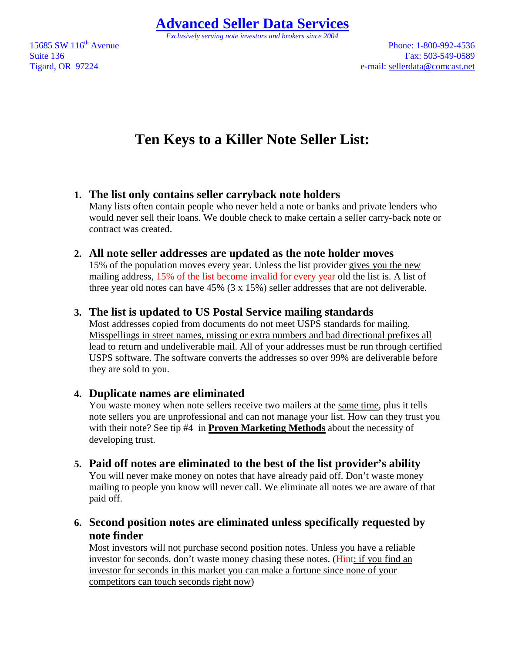**Advanced Seller Data Services**

*Exclusively serving note investors and brokers since 2004* 

15685 SW 116<sup>th</sup> Avenue Phone: 1-800-992-4536 Suite 136 Fax: 503-549-0589 Tigard, OR 97224 e-mail: sellerdata@comcast.net

# **Ten Keys to a Killer Note Seller List:**

# **1. The list only contains seller carryback note holders**

Many lists often contain people who never held a note or banks and private lenders who would never sell their loans. We double check to make certain a seller carry-back note or contract was created.

#### **2. All note seller addresses are updated as the note holder moves**

15% of the population moves every year. Unless the list provider gives you the new mailing address, 15% of the list become invalid for every year old the list is. A list of three year old notes can have 45% (3 x 15%) seller addresses that are not deliverable.

### **3. The list is updated to US Postal Service mailing standards**

Most addresses copied from documents do not meet USPS standards for mailing. Misspellings in street names, missing or extra numbers and bad directional prefixes all lead to return and undeliverable mail. All of your addresses must be run through certified USPS software. The software converts the addresses so over 99% are deliverable before they are sold to you.

### **4. Duplicate names are eliminated**

You waste money when note sellers receive two mailers at the same time, plus it tells note sellers you are unprofessional and can not manage your list. How can they trust you with their note? See tip #4 in **Proven Marketing Methods** about the necessity of developing trust.

**5. Paid off notes are eliminated to the best of the list provider's ability**  You will never make money on notes that have already paid off. Don't waste money

mailing to people you know will never call. We eliminate all notes we are aware of that paid off.

# **6. Second position notes are eliminated unless specifically requested by note finder**

Most investors will not purchase second position notes. Unless you have a reliable investor for seconds, don't waste money chasing these notes. (Hint: if you find an investor for seconds in this market you can make a fortune since none of your competitors can touch seconds right now)